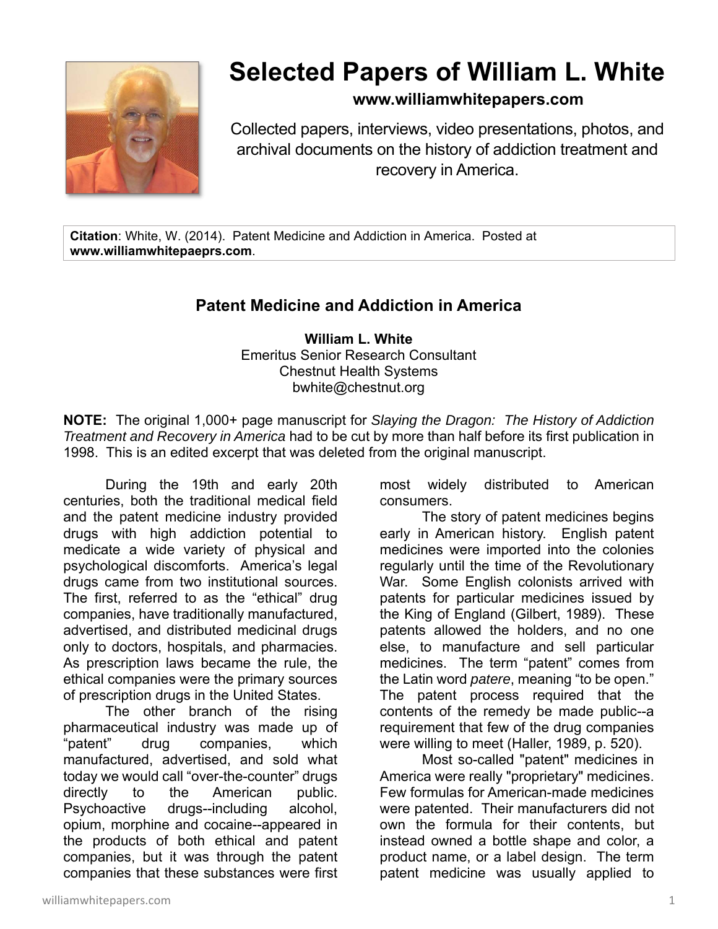

# **Selected Papers of William L. White**

# **www.williamwhitepapers.com**

Collected papers, interviews, video presentations, photos, and archival documents on the history of addiction treatment and recovery in America.

**Citation**: White, W. (2014). Patent Medicine and Addiction in America. Posted at **www.williamwhitepaeprs.com**.

# **Patent Medicine and Addiction in America**

**William L. White**  Emeritus Senior Research Consultant Chestnut Health Systems bwhite@chestnut.org

**NOTE:** The original 1,000+ page manuscript for *Slaying the Dragon: The History of Addiction Treatment and Recovery in America* had to be cut by more than half before its first publication in 1998. This is an edited excerpt that was deleted from the original manuscript.

During the 19th and early 20th centuries, both the traditional medical field and the patent medicine industry provided drugs with high addiction potential to medicate a wide variety of physical and psychological discomforts. America's legal drugs came from two institutional sources. The first, referred to as the "ethical" drug companies, have traditionally manufactured, advertised, and distributed medicinal drugs only to doctors, hospitals, and pharmacies. As prescription laws became the rule, the ethical companies were the primary sources of prescription drugs in the United States.

The other branch of the rising pharmaceutical industry was made up of "patent" drug companies, which manufactured, advertised, and sold what today we would call "over-the-counter" drugs directly to the American public. Psychoactive drugs--including alcohol, opium, morphine and cocaine--appeared in the products of both ethical and patent companies, but it was through the patent companies that these substances were first most widely distributed to American consumers.

The story of patent medicines begins early in American history. English patent medicines were imported into the colonies regularly until the time of the Revolutionary War. Some English colonists arrived with patents for particular medicines issued by the King of England (Gilbert, 1989). These patents allowed the holders, and no one else, to manufacture and sell particular medicines. The term "patent" comes from the Latin word *patere*, meaning "to be open." The patent process required that the contents of the remedy be made public--a requirement that few of the drug companies were willing to meet (Haller, 1989, p. 520).

Most so-called "patent" medicines in America were really "proprietary" medicines. Few formulas for American-made medicines were patented. Their manufacturers did not own the formula for their contents, but instead owned a bottle shape and color, a product name, or a label design. The term patent medicine was usually applied to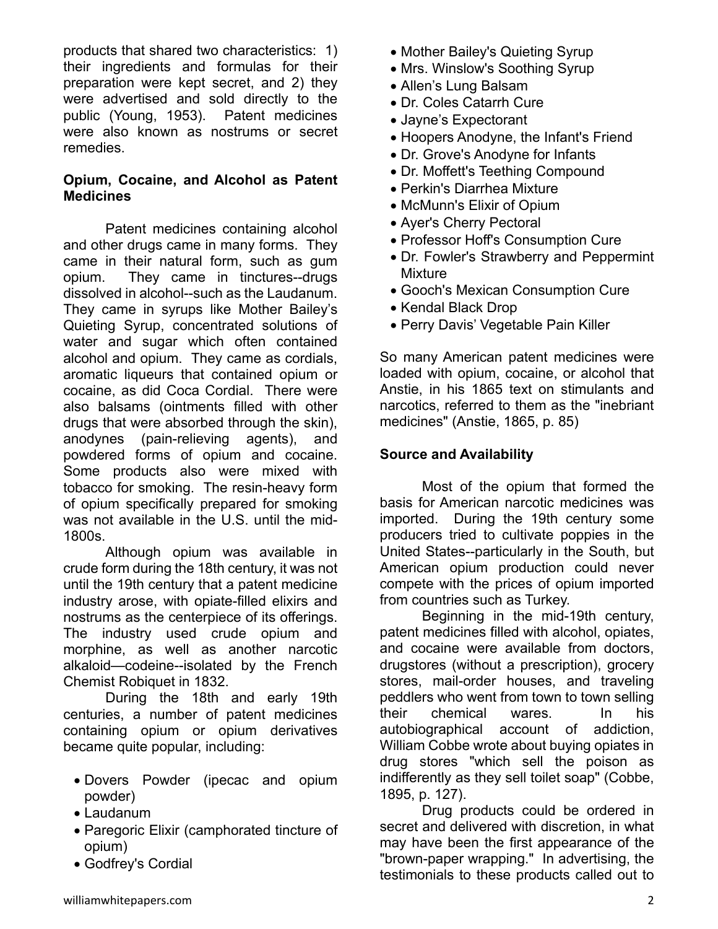products that shared two characteristics: 1) their ingredients and formulas for their preparation were kept secret, and 2) they were advertised and sold directly to the public (Young, 1953). Patent medicines were also known as nostrums or secret remedies.

#### **Opium, Cocaine, and Alcohol as Patent Medicines**

Patent medicines containing alcohol and other drugs came in many forms. They came in their natural form, such as gum opium. They came in tinctures--drugs dissolved in alcohol--such as the Laudanum. They came in syrups like Mother Bailey's Quieting Syrup, concentrated solutions of water and sugar which often contained alcohol and opium. They came as cordials, aromatic liqueurs that contained opium or cocaine, as did Coca Cordial. There were also balsams (ointments filled with other drugs that were absorbed through the skin), anodynes (pain-relieving agents), and powdered forms of opium and cocaine. Some products also were mixed with tobacco for smoking. The resin-heavy form of opium specifically prepared for smoking was not available in the U.S. until the mid-1800s.

Although opium was available in crude form during the 18th century, it was not until the 19th century that a patent medicine industry arose, with opiate-filled elixirs and nostrums as the centerpiece of its offerings. The industry used crude opium and morphine, as well as another narcotic alkaloid—codeine--isolated by the French Chemist Robiquet in 1832.

During the 18th and early 19th centuries, a number of patent medicines containing opium or opium derivatives became quite popular, including:

- Dovers Powder (ipecac and opium powder)
- Laudanum
- Paregoric Elixir (camphorated tincture of opium)
- Godfrey's Cordial
- Mother Bailey's Quieting Syrup
- Mrs. Winslow's Soothing Syrup
- Allen's Lung Balsam
- Dr. Coles Catarrh Cure
- Jayne's Expectorant
- Hoopers Anodyne, the Infant's Friend
- Dr. Grove's Anodyne for Infants
- Dr. Moffett's Teething Compound
- Perkin's Diarrhea Mixture
- McMunn's Elixir of Opium
- Ayer's Cherry Pectoral
- Professor Hoff's Consumption Cure
- Dr. Fowler's Strawberry and Peppermint Mixture
- Gooch's Mexican Consumption Cure
- Kendal Black Drop
- Perry Davis' Vegetable Pain Killer

So many American patent medicines were loaded with opium, cocaine, or alcohol that Anstie, in his 1865 text on stimulants and narcotics, referred to them as the "inebriant medicines" (Anstie, 1865, p. 85)

#### **Source and Availability**

Most of the opium that formed the basis for American narcotic medicines was imported. During the 19th century some producers tried to cultivate poppies in the United States--particularly in the South, but American opium production could never compete with the prices of opium imported from countries such as Turkey.

Beginning in the mid-19th century, patent medicines filled with alcohol, opiates, and cocaine were available from doctors, drugstores (without a prescription), grocery stores, mail-order houses, and traveling peddlers who went from town to town selling their chemical wares. In his autobiographical account of addiction, William Cobbe wrote about buying opiates in drug stores "which sell the poison as indifferently as they sell toilet soap" (Cobbe, 1895, p. 127).

Drug products could be ordered in secret and delivered with discretion, in what may have been the first appearance of the "brown-paper wrapping." In advertising, the testimonials to these products called out to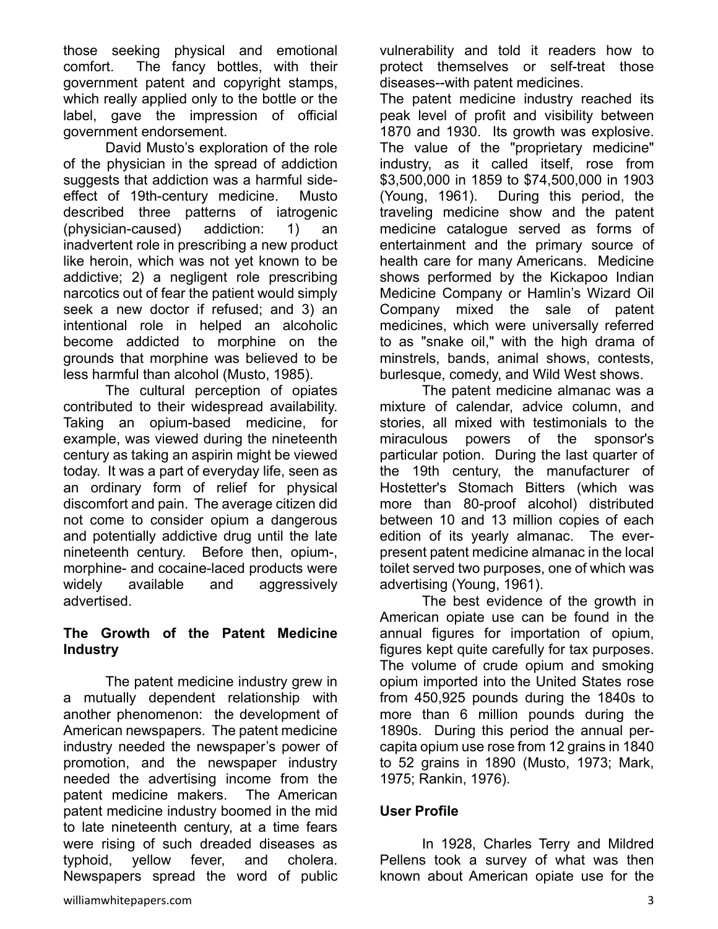those seeking physical and emotional comfort. The fancy bottles, with their government patent and copyright stamps, which really applied only to the bottle or the label, gave the impression of official government endorsement.

David Musto's exploration of the role of the physician in the spread of addiction suggests that addiction was a harmful sideeffect of 19th-century medicine. Musto described three patterns of iatrogenic (physician-caused) addiction: 1) an inadvertent role in prescribing a new product like heroin, which was not yet known to be addictive; 2) a negligent role prescribing narcotics out of fear the patient would simply seek a new doctor if refused; and 3) an intentional role in helped an alcoholic become addicted to morphine on the grounds that morphine was believed to be less harmful than alcohol (Musto, 1985).

The cultural perception of opiates contributed to their widespread availability. Taking an opium-based medicine, for example, was viewed during the nineteenth century as taking an aspirin might be viewed today. It was a part of everyday life, seen as an ordinary form of relief for physical discomfort and pain. The average citizen did not come to consider opium a dangerous and potentially addictive drug until the late nineteenth century. Before then, opium-, morphine- and cocaine-laced products were widely available and aggressively advertised.

#### **The Growth of the Patent Medicine Industry**

The patent medicine industry grew in a mutually dependent relationship with another phenomenon: the development of American newspapers. The patent medicine industry needed the newspaper's power of promotion, and the newspaper industry needed the advertising income from the patent medicine makers. The American patent medicine industry boomed in the mid to late nineteenth century, at a time fears were rising of such dreaded diseases as typhoid, yellow fever, and cholera. Newspapers spread the word of public

vulnerability and told it readers how to protect themselves or self-treat those diseases--with patent medicines.

The patent medicine industry reached its peak level of profit and visibility between 1870 and 1930. Its growth was explosive. The value of the "proprietary medicine" industry, as it called itself, rose from \$3,500,000 in 1859 to \$74,500,000 in 1903 (Young, 1961). During this period, the traveling medicine show and the patent medicine catalogue served as forms of entertainment and the primary source of health care for many Americans. Medicine shows performed by the Kickapoo Indian Medicine Company or Hamlin's Wizard Oil Company mixed the sale of patent medicines, which were universally referred to as "snake oil," with the high drama of minstrels, bands, animal shows, contests, burlesque, comedy, and Wild West shows.

The patent medicine almanac was a mixture of calendar, advice column, and stories, all mixed with testimonials to the miraculous powers of the sponsor's particular potion. During the last quarter of the 19th century, the manufacturer of Hostetter's Stomach Bitters (which was more than 80-proof alcohol) distributed between 10 and 13 million copies of each edition of its yearly almanac. The everpresent patent medicine almanac in the local toilet served two purposes, one of which was advertising (Young, 1961).

The best evidence of the growth in American opiate use can be found in the annual figures for importation of opium, figures kept quite carefully for tax purposes. The volume of crude opium and smoking opium imported into the United States rose from 450,925 pounds during the 1840s to more than 6 million pounds during the 1890s. During this period the annual percapita opium use rose from 12 grains in 1840 to 52 grains in 1890 (Musto, 1973; Mark, 1975; Rankin, 1976).

# **User Profile**

In 1928, Charles Terry and Mildred Pellens took a survey of what was then known about American opiate use for the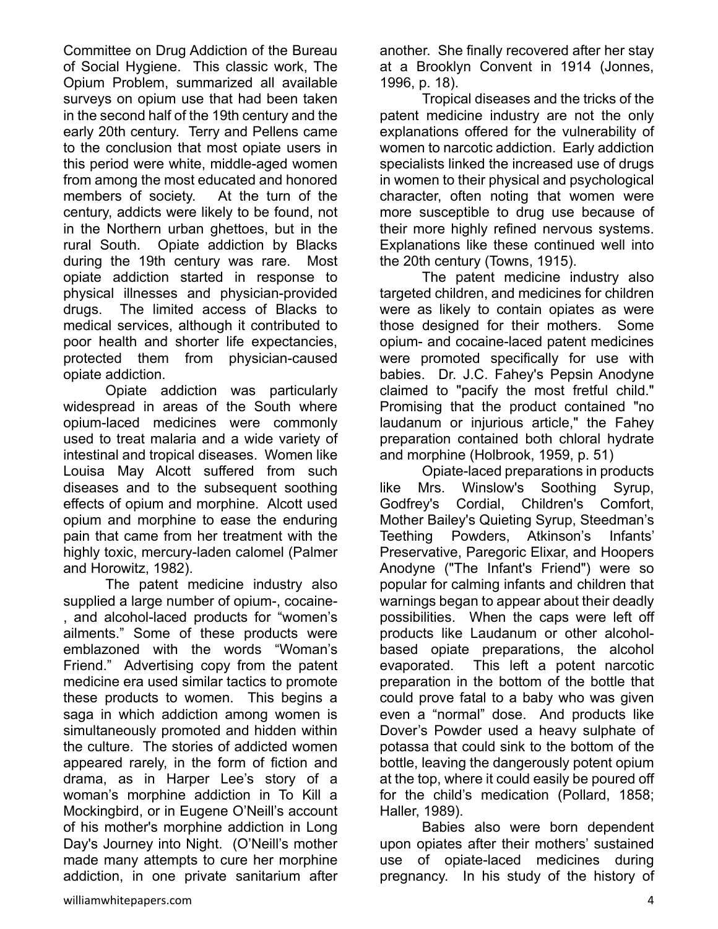Committee on Drug Addiction of the Bureau of Social Hygiene. This classic work, The Opium Problem, summarized all available surveys on opium use that had been taken in the second half of the 19th century and the early 20th century. Terry and Pellens came to the conclusion that most opiate users in this period were white, middle-aged women from among the most educated and honored members of society. At the turn of the century, addicts were likely to be found, not in the Northern urban ghettoes, but in the rural South. Opiate addiction by Blacks during the 19th century was rare. Most opiate addiction started in response to physical illnesses and physician-provided drugs. The limited access of Blacks to medical services, although it contributed to poor health and shorter life expectancies, protected them from physician-caused opiate addiction.

Opiate addiction was particularly widespread in areas of the South where opium-laced medicines were commonly used to treat malaria and a wide variety of intestinal and tropical diseases. Women like Louisa May Alcott suffered from such diseases and to the subsequent soothing effects of opium and morphine. Alcott used opium and morphine to ease the enduring pain that came from her treatment with the highly toxic, mercury-laden calomel (Palmer and Horowitz, 1982).

The patent medicine industry also supplied a large number of opium-, cocaine- , and alcohol-laced products for "women's ailments." Some of these products were emblazoned with the words "Woman's Friend." Advertising copy from the patent medicine era used similar tactics to promote these products to women. This begins a saga in which addiction among women is simultaneously promoted and hidden within the culture. The stories of addicted women appeared rarely, in the form of fiction and drama, as in Harper Lee's story of a woman's morphine addiction in To Kill a Mockingbird, or in Eugene O'Neill's account of his mother's morphine addiction in Long Day's Journey into Night. (O'Neill's mother made many attempts to cure her morphine addiction, in one private sanitarium after

another. She finally recovered after her stay at a Brooklyn Convent in 1914 (Jonnes, 1996, p. 18).

Tropical diseases and the tricks of the patent medicine industry are not the only explanations offered for the vulnerability of women to narcotic addiction. Early addiction specialists linked the increased use of drugs in women to their physical and psychological character, often noting that women were more susceptible to drug use because of their more highly refined nervous systems. Explanations like these continued well into the 20th century (Towns, 1915).

The patent medicine industry also targeted children, and medicines for children were as likely to contain opiates as were those designed for their mothers. Some opium- and cocaine-laced patent medicines were promoted specifically for use with babies. Dr. J.C. Fahey's Pepsin Anodyne claimed to "pacify the most fretful child." Promising that the product contained "no laudanum or injurious article," the Fahey preparation contained both chloral hydrate and morphine (Holbrook, 1959, p. 51)

Opiate-laced preparations in products like Mrs. Winslow's Soothing Syrup, Godfrey's Cordial, Children's Comfort, Mother Bailey's Quieting Syrup, Steedman's Teething Powders, Atkinson's Infants' Preservative, Paregoric Elixar, and Hoopers Anodyne ("The Infant's Friend") were so popular for calming infants and children that warnings began to appear about their deadly possibilities. When the caps were left off products like Laudanum or other alcoholbased opiate preparations, the alcohol evaporated. This left a potent narcotic preparation in the bottom of the bottle that could prove fatal to a baby who was given even a "normal" dose. And products like Dover's Powder used a heavy sulphate of potassa that could sink to the bottom of the bottle, leaving the dangerously potent opium at the top, where it could easily be poured off for the child's medication (Pollard, 1858; Haller, 1989).

Babies also were born dependent upon opiates after their mothers' sustained use of opiate-laced medicines during pregnancy. In his study of the history of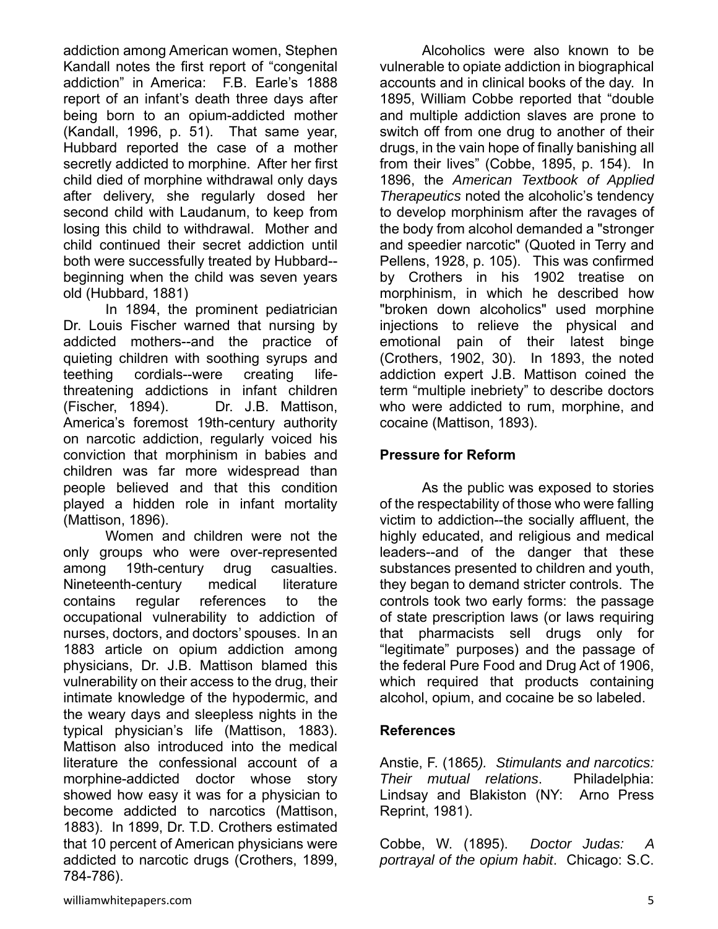addiction among American women, Stephen Kandall notes the first report of "congenital addiction" in America: F.B. Earle's 1888 report of an infant's death three days after being born to an opium-addicted mother (Kandall, 1996, p. 51). That same year, Hubbard reported the case of a mother secretly addicted to morphine. After her first child died of morphine withdrawal only days after delivery, she regularly dosed her second child with Laudanum, to keep from losing this child to withdrawal. Mother and child continued their secret addiction until both were successfully treated by Hubbard- beginning when the child was seven years old (Hubbard, 1881)

In 1894, the prominent pediatrician Dr. Louis Fischer warned that nursing by addicted mothers--and the practice of quieting children with soothing syrups and teething cordials--were creating lifethreatening addictions in infant children (Fischer, 1894). Dr. J.B. Mattison, America's foremost 19th-century authority on narcotic addiction, regularly voiced his conviction that morphinism in babies and children was far more widespread than people believed and that this condition played a hidden role in infant mortality (Mattison, 1896).

Women and children were not the only groups who were over-represented among 19th-century drug casualties. Nineteenth-century medical literature contains regular references to the occupational vulnerability to addiction of nurses, doctors, and doctors' spouses. In an 1883 article on opium addiction among physicians, Dr. J.B. Mattison blamed this vulnerability on their access to the drug, their intimate knowledge of the hypodermic, and the weary days and sleepless nights in the typical physician's life (Mattison, 1883). Mattison also introduced into the medical literature the confessional account of a morphine-addicted doctor whose story showed how easy it was for a physician to become addicted to narcotics (Mattison, 1883). In 1899, Dr. T.D. Crothers estimated that 10 percent of American physicians were addicted to narcotic drugs (Crothers, 1899, 784-786).

Alcoholics were also known to be vulnerable to opiate addiction in biographical accounts and in clinical books of the day. In 1895, William Cobbe reported that "double and multiple addiction slaves are prone to switch off from one drug to another of their drugs, in the vain hope of finally banishing all from their lives" (Cobbe, 1895, p. 154). In 1896, the *American Textbook of Applied Therapeutics* noted the alcoholic's tendency to develop morphinism after the ravages of the body from alcohol demanded a "stronger and speedier narcotic" (Quoted in Terry and Pellens, 1928, p. 105). This was confirmed by Crothers in his 1902 treatise on morphinism, in which he described how "broken down alcoholics" used morphine injections to relieve the physical and emotional pain of their latest binge (Crothers, 1902, 30). In 1893, the noted addiction expert J.B. Mattison coined the term "multiple inebriety" to describe doctors who were addicted to rum, morphine, and cocaine (Mattison, 1893).

### **Pressure for Reform**

As the public was exposed to stories of the respectability of those who were falling victim to addiction--the socially affluent, the highly educated, and religious and medical leaders--and of the danger that these substances presented to children and youth, they began to demand stricter controls. The controls took two early forms: the passage of state prescription laws (or laws requiring that pharmacists sell drugs only for "legitimate" purposes) and the passage of the federal Pure Food and Drug Act of 1906, which required that products containing alcohol, opium, and cocaine be so labeled.

#### **References**

Anstie, F. (1865*). Stimulants and narcotics: Their mutual relations*. Philadelphia: Lindsay and Blakiston (NY: Arno Press Reprint, 1981).

Cobbe, W. (1895). *Doctor Judas: A portrayal of the opium habit*. Chicago: S.C.